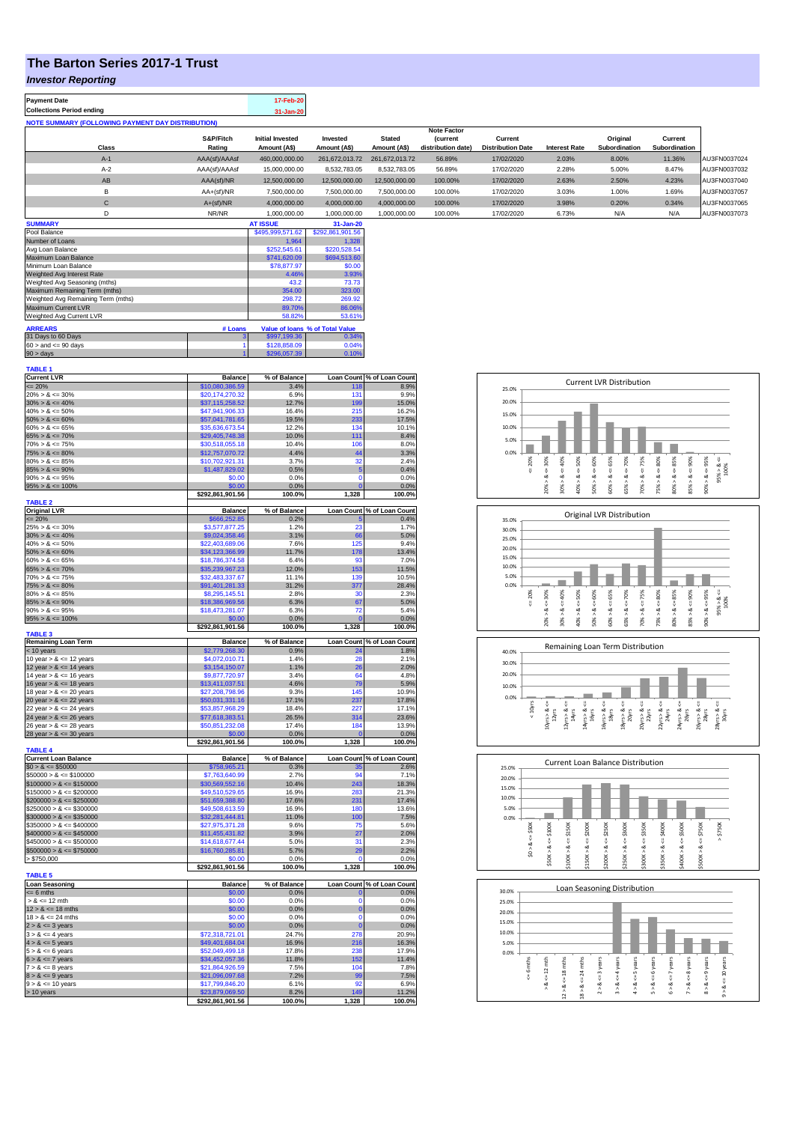## **The Barton Series 2017-1 Trust**

**Payment Date 17-Feb-20** 

### *Investor Reporting*

| <b>Collections Period ending</b>                         |                     | 31-Jan-20                               |                          |                               |                                      |                                     |                      |                           |                          |              |
|----------------------------------------------------------|---------------------|-----------------------------------------|--------------------------|-------------------------------|--------------------------------------|-------------------------------------|----------------------|---------------------------|--------------------------|--------------|
| <b>NOTE SUMMARY (FOLLOWING PAYMENT DAY DISTRIBUTION)</b> |                     |                                         |                          |                               |                                      |                                     |                      |                           |                          |              |
|                                                          |                     |                                         |                          |                               | <b>Note Factor</b>                   |                                     |                      |                           |                          |              |
| Class                                                    | S&P/Fitch<br>Rating | <b>Initial Invested</b><br>Amount (A\$) | Invested<br>Amount (A\$) | <b>Stated</b><br>Amount (A\$) | <b>Current</b><br>distribution date) | Current<br><b>Distribution Date</b> | <b>Interest Rate</b> | Original<br>Subordination | Current<br>Subordination |              |
| $A-1$                                                    | AAA(sf)/AAAsf       | 460.000.000.00                          | 261.672.013.72           | 261.672.013.72                | 56.89%                               | 17/02/2020                          | 2.03%                | 8.00%                     | 11.36%                   | AU3FN0037024 |
| $A-2$                                                    | AAA(sf)/AAAsf       | 15,000,000.00                           | 8,532,783.05             | 8.532.783.05                  | 56.89%                               | 17/02/2020                          | 2.28%                | 5.00%                     | 8.47%                    | AU3FN0037032 |
| AB                                                       | AAA(sf)/NR          | 12,500,000.00                           | 12,500,000.00            | 12.500.000.00                 | 100.00%                              | 17/02/2020                          | 2.63%                | 2.50%                     | 4.23%                    | AU3FN0037040 |
| B                                                        | $AA+(sf)/NR$        | 7.500.000.00                            | 7,500,000.00             | 7.500.000.00                  | 100.00%                              | 17/02/2020                          | 3.03%                | 1.00%                     | 1.69%                    | AU3FN0037057 |
| С                                                        | $A+(sf)/NR$         | 4,000,000.00                            | 4,000,000.00             | 4,000,000.00                  | 100.00%                              | 17/02/2020                          | 3.98%                | 0.20%                     | 0.34%                    | AU3FN0037065 |
| D                                                        | NR/NR               | 1.000.000.00                            | 1.000.000.00             | 1.000.000.00                  | 100.00%                              | 17/02/2020                          | 6.73%                | N/A                       | N/A                      | AU3FN0037073 |
| <b>SUMMARY</b>                                           |                     | <b>AT ISSUE</b>                         | 31-Jan-20                |                               |                                      |                                     |                      |                           |                          |              |

| Pool Balance                       |         | \$495,999,571.62 | \$292,861,901.56                |
|------------------------------------|---------|------------------|---------------------------------|
| Number of Loans                    |         | 1.964            | 1.328                           |
| Avg Loan Balance                   |         | \$252,545.61     | \$220,528.54                    |
| Maximum Loan Balance               |         | \$741,620.09     | \$694,513.60                    |
| Minimum Loan Balance               |         | \$78,877.97      | \$0.00                          |
| Weighted Avg Interest Rate         |         | 4.46%            | 3.93%                           |
| Weighted Avg Seasoning (mths)      |         | 43.2             | 73.73                           |
| Maximum Remaining Term (mths)      | 354.00  | 323.00           |                                 |
| Weighted Avg Remaining Term (mths) |         | 298.72           | 269.92                          |
| Maximum Current LVR                |         | 89.70%           | 86.06%                          |
| Weighted Avg Current LVR           |         | 58.82%           | 53.61%                          |
| <b>ARREARS</b>                     | # Loans |                  | Value of Ioans % of Total Value |
| 31 Days to 60 Days                 | з       | \$997,199.36     | 0.34%                           |
| $60 >$ and $\leq 90$ days          |         | \$128,858.09     | 0.04%                           |
| $90 >$ days                        |         | \$296,057.39     | 0.10%                           |

| TABLE 1                                      |                                   |                |                   |                            |
|----------------------------------------------|-----------------------------------|----------------|-------------------|----------------------------|
| <b>Current LVR</b>                           | <b>Balance</b>                    | % of Balance   |                   | Loan Count % of Loan Count |
| $= 20%$                                      | \$10,080,386.59                   | 3.4%           | 118               | 8.9%                       |
| $20\% > 8 \le 30\%$                          | \$20,174,270.32                   | 6.9%           | 131               | 9.9%                       |
| $30\% > 8 \le 40\%$                          | \$37,115,258.52                   | 12.7%          | 199               | 15.0%                      |
| $40\% > 8 \le 50\%$                          | \$47,941,906.33                   | 16.4%          | 215               | 16.2%                      |
|                                              |                                   |                |                   |                            |
| $50\% > 8 \le 60\%$                          | \$57,041,781.65                   | 19.5%          | 233               | 17.5%                      |
| $60\% > 8 \le 65\%$                          | \$35,636,673.54                   | 12.2%          | 134               | 10.1%                      |
| $65\% > 8 \le 70\%$                          | \$29,405,748.38                   | 10.0%          | 111               | 8.4%                       |
| $70\% > 8 \le 75\%$                          | \$30,518,055.18                   | 10.4%          | 106               | 8.0%                       |
| $75\% > 8 \le 80\%$                          | \$12,757,070.72                   | 4.4%           | 44                | 3.3%                       |
| $80\% > 8 \le 85\%$                          | \$10,702,921.31                   | 3.7%           | 32                | 2.4%                       |
| $85\% > 8 \le 90\%$                          | \$1,487,829.02                    | 0.5%           | 5                 | 0.4%                       |
| $90\% > 8 \le 95\%$                          | \$0.00                            | 0.0%           | $\mathbf 0$       | 0.0%                       |
| $95\% > 8 \le 100\%$                         | \$0.00                            | 0.0%           | $\overline{0}$    | 0.0%                       |
|                                              |                                   |                |                   |                            |
|                                              | \$292,861,901.56                  | 100.0%         | 1,328             | 100.0%                     |
| <b>TABLE 2</b>                               |                                   |                |                   |                            |
| <b>Original LVR</b>                          | <b>Balance</b>                    | % of Balance   | <b>Loan Count</b> | % of Loan Count            |
| $\leq$ 20%                                   | \$666,252.85                      | 0.2%           | Æ                 | 0.4%                       |
| $25\% > 8 \le 30\%$                          | \$3,577,877.25                    | 1.2%           | 23                | 1.7%                       |
| $30\% > 8 \le 40\%$                          | \$9,024,358.46                    | 3.1%           | 66                | 5.0%                       |
| $40\% > 8 \le 50\%$                          | \$22,403,689.06                   | 7.6%           | 125               | 9.4%                       |
| $50\% > 8 \le 60\%$                          | \$34,123,366.99                   | 11.7%          | 178               | 13.4%                      |
| $60\% > 8 \le 65\%$                          | \$18,786,374.58                   | 6.4%           | 93                | 7.0%                       |
|                                              |                                   | 12.0%          |                   |                            |
| $65\% > 8 \le 70\%$                          | \$35,239,967.23                   |                | 153               | 11.5%                      |
| $70\% > 8 \le 75\%$                          | \$32,483,337.67                   | 11.1%          | 139               | 10.5%                      |
| $75\% > 8 \le 80\%$                          | \$91,401,281.33                   | 31.2%          | 377               | 28.4%                      |
| $80\% > 8 \le 85\%$                          | \$8,295,145.51                    | 2.8%           | 30                | 2.3%                       |
| $85\% > 8 \le 90\%$                          | \$18,386,969.56                   | 6.3%           | 67                | 5.0%                       |
| $90\% > 8 \le 95\%$                          | \$18,473,281.07                   | 6.3%           | 72                | 5.4%                       |
| $95\% > 8 \le 100\%$                         | \$0.00                            | 0.0%           | C                 | 0.0%                       |
|                                              | \$292,861,901.56                  | 100.0%         | 1,328             | 100.0%                     |
| <b>TABLE 3</b>                               |                                   |                |                   |                            |
| <b>Remaining Loan Term</b>                   | <b>Balance</b>                    | % of Balance   |                   | Loan Count % of Loan Count |
| < 10 years                                   | \$2,779,268.30                    | 0.9%           | 24                | 1.8%                       |
| 10 year $> 8 \le 12$ years                   | \$4,072,010.71                    | 1.4%           | 28                | 2.1%                       |
|                                              |                                   |                |                   |                            |
| 12 year $> 8 \le 14$ years                   | \$3,154,150.07                    | 1.1%           | 26                | 2.0%                       |
| 14 year $> 8 \le 16$ years                   | \$9,877,720.97                    | 3.4%           | 64                | 4.8%                       |
| 16 year $> 8 \le 18$ years                   | \$13,411,037.51                   | 4.6%           | 79                | 5.9%                       |
| 18 year $> 8 \le 20$ years                   | \$27,208,798.96                   | 9.3%           | 145               | 10.9%                      |
|                                              |                                   |                |                   | 17.8%                      |
|                                              |                                   |                |                   |                            |
| 20 year $> 8 \le 22$ years                   | \$50,031,331.16                   | 17.1%          | 237               |                            |
| 22 year $> 8 \le 24$ years                   | \$53,857,968.29                   | 18.4%          | 227               | 17.1%                      |
| 24 year $> 8 \le 26$ years                   | \$77,618,383.51                   | 26.5%          | 314               | 23.6%                      |
| 26 year $> 8 \le 28$ years                   | \$50,851,232.08                   | 17.4%          | 184               | 13.9%                      |
|                                              | \$0.00                            | 0.0%           | $\epsilon$        | 0.0%                       |
|                                              | \$292,861,901.56                  | 100.0%         | 1,328             | 100.0%                     |
| 28 year $> 8 \le 30$ years<br><b>TABLE 4</b> |                                   |                |                   |                            |
| <b>Current Loan Balance</b>                  | <b>Balance</b>                    | % of Balance   | <b>Loan Count</b> | % of Loan Count            |
| $$0 > 8 \le $50000$                          | \$758,965.21                      | 0.3%           | 35                | 2.6%                       |
|                                              |                                   | 2.7%           | 94                | 7.1%                       |
| $$50000 > 8 \le $100000$                     | \$7,763,640.99                    |                |                   |                            |
| $$100000 > 8 \le $150000$                    | 30,569,552.16                     | 10.4%          | 243               | 18.3%                      |
| $$150000 > 8 \le $200000$                    | \$49,510,529.65                   | 16.9%          | 283               | 21.3%                      |
| $$200000 > 8 \le $250000$                    | \$51,659,388.80                   | 17.6%          | 231               | 17.4%                      |
| $$250000 > 8 \leq $300000$                   | \$49,508,613.59                   | 16.9%          | 180               | 13.6%                      |
| $$300000 > 8 \leq $350000$                   | \$32,281,444.81                   | 11.0%          | 100               | 7.5%                       |
| $$350000 > 8 \le $400000$                    | \$27,975,371.28                   | 9.6%           | 75                | 5.6%                       |
| $$400000 > 8 \le $450000$                    | \$11,455,431.82                   | 3.9%           | 27                | 2.0%                       |
| $$450000 > 8 \le $500000$                    | \$14,618,677.44                   | 5.0%           | 31                | 2.3%                       |
|                                              |                                   |                |                   |                            |
| $$500000 > 8 \le $750000$                    | \$16,760,285.81                   | 5.7%           | 29<br>$\Omega$    | 2.2%                       |
| > \$750,000                                  | \$0.00                            | 0.0%           |                   | 0.0%                       |
|                                              | \$292,861,901.56                  | 100.0%         | 1,328             | 100.0%                     |
| <b>TABLE 5</b>                               |                                   |                |                   |                            |
| Loan Seasoning                               | <b>Balance</b>                    | % of Balance   |                   | Loan Count % of Loan Count |
| $= 6$ mths                                   | \$0.00                            | 0.0%           | $\mathbf{0}$      | 0.0%                       |
| $> 8 \le 12$ mth                             | \$0.00                            | 0.0%           | O                 | 0.0%                       |
| $12 > 8 \le 18$ mths                         | \$0.00                            | 0.0%           | $\mathbf 0$       | 0.0%                       |
| $18 > 8 \le 24$ mths                         | \$0.00                            | 0.0%           | $\Omega$          | 0.0%                       |
|                                              |                                   |                | $\mathbf 0$       |                            |
| $2 > 8 \le 3$ years                          | \$0.00                            | 0.0%           |                   | 0.0%                       |
| $3 > 8 \leq 4$ years                         | \$72,318,721.01                   | 24.7%          | 278               | 20.9%                      |
| $4 > 8 \le 5$ years                          | \$49,401,684.04                   | 16.9%          | 216               | 16.3%                      |
| $5 > 8 \le 6$ years                          | \$52,049,499.18                   | 17.8%          | 238               | 17.9%                      |
| $6 > 8 \le 7$ years                          | \$34,452,057.36                   | 11.8%          | 152               | 11.4%                      |
| $7 > 8 \le 8$ years                          | \$21,864,926.59                   | 7.5%           | 104               | 7.8%                       |
| $8 > 8 \le 9$ years                          | \$21,096,097.68                   | 7.2%           | 99                | 7.5%                       |
| $9 > 8 \le 10$ years                         | \$17,799,846.20                   | 6.1%           | 92                | 6.9%                       |
|                                              |                                   |                | 149               |                            |
| > 10 years                                   | 23,879,069.50<br>\$292,861,901.56 | 8.2%<br>100.0% | 1,328             | 11.2%<br>100.0%            |

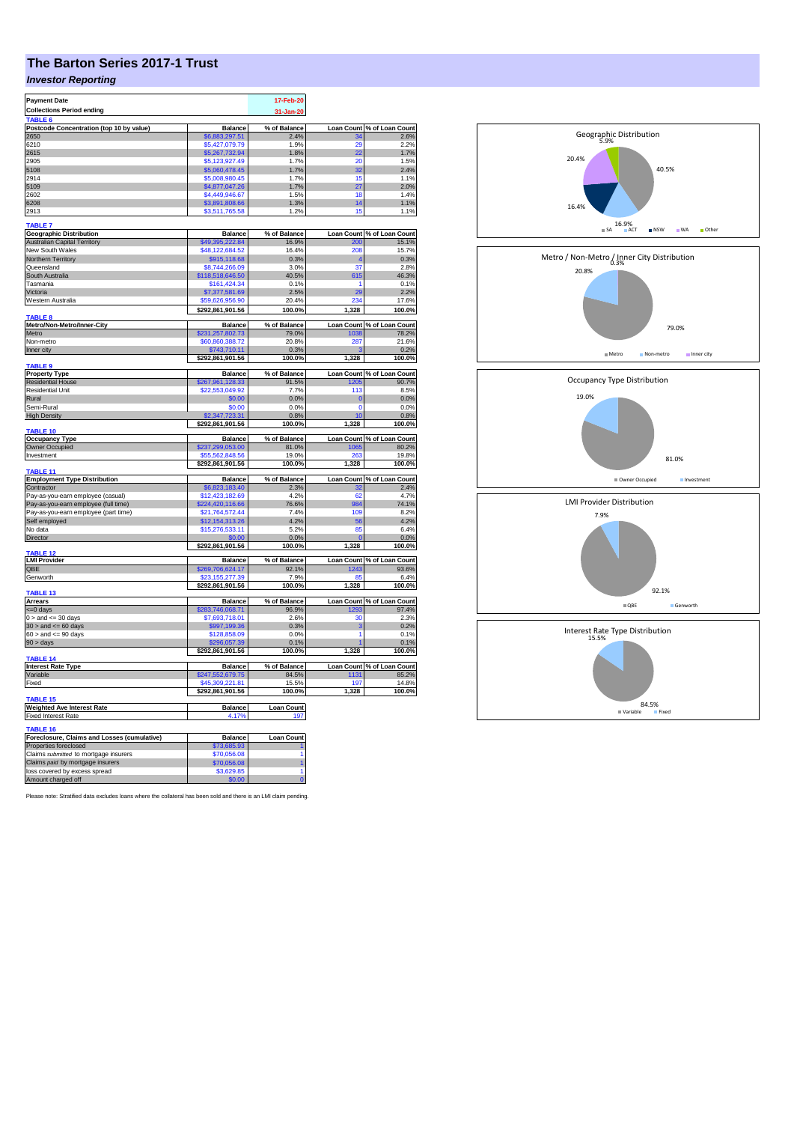# **The Barton Series 2017-1 Trust**

## *Investor Reporting*

| <b>Payment Date</b>                            |                                    | 17-Feb-20         |                            |                                     |
|------------------------------------------------|------------------------------------|-------------------|----------------------------|-------------------------------------|
| <b>Collections Period ending</b>               |                                    |                   |                            |                                     |
| TABLE <sub>6</sub>                             |                                    | 31-Jan-20         |                            |                                     |
| Postcode Concentration (top 10 by value)       | <b>Balance</b>                     | % of Balance      | <b>Loan Count</b>          | % of Loan Count                     |
| 2650                                           | \$6,883,297.51                     | 2.4%              |                            | 2.6%                                |
| 6210                                           | \$5,427,079.79                     | 1.9%              | 29                         | 2.2%                                |
| 2615                                           | \$5,267,732.94                     | 1.8%              | $\overline{22}$            | 1.7%                                |
| 2905                                           | \$5,123,927.49                     | 1.7%              | 20                         | 1.5%                                |
| 5108                                           | \$5,060,478.45                     | 1.7%              | 32                         | 2.4%                                |
| 2914                                           | \$5,008,980.45                     | 1.7%              | 15                         | 1.1%                                |
| 5109                                           |                                    |                   |                            | 2.0%                                |
| 2602                                           | \$4,877,047.26<br>\$4,449,946.67   | 1.7%<br>1.5%      | 27<br>18                   | 1.4%                                |
| 6208                                           | \$3,891,808.66                     | 1.3%              | 14                         | 1.1%                                |
| 2913                                           | \$3,511,765.58                     | 1.2%              | 15                         | 1.1%                                |
|                                                |                                    |                   |                            |                                     |
| <b>TABLE 7</b>                                 |                                    |                   |                            |                                     |
| <b>Geographic Distribution</b>                 | <b>Balance</b>                     | % of Balance      |                            | Loan Count % of Loan Count          |
| <b>Australian Capital Territory</b>            | \$49,395,222.84                    | 16.9%             | 200                        | 15.1%                               |
| New South Wales                                | \$48,122,684.52                    | 16.4%             | 208                        | 15.7%                               |
| Northern Territory                             | \$915,118.68                       | 0.3%              |                            | 0.3%                                |
| Queensland                                     | \$8,744,266.09                     | 3.0%              | 37                         | 2.8%                                |
| South Australia                                | \$118,518,646.50                   | 40.5%             | 615                        | 46.3%                               |
| Tasmania                                       | \$161,424.34                       | 0.1%              | 1                          | 0.1%                                |
| Victoria                                       | \$7,377,581.69                     | 2.5%              | 29                         | 2.2%                                |
| Western Australia                              | \$59,626,956.90                    | 20.4%             | 234                        | 17.6%                               |
|                                                |                                    |                   |                            |                                     |
| <b>TABLE 8</b>                                 | \$292,861,901.56                   | 100.0%            | 1,328                      | 100.0%                              |
| Metro/Non-Metro/Inner-City                     |                                    | % of Balance      | Loan Count                 | of Loan Count<br>78.2%              |
| Metro                                          | <b>Balance</b><br>\$231,257,802.73 | 79.0%             | 1038                       |                                     |
| Non-metro                                      | \$60,860,388.72                    | 20.8%             | 287                        | 21.6%                               |
|                                                | \$743.710.11                       |                   |                            |                                     |
| Inner city                                     |                                    | 0.3%              |                            | 0.2%<br>100.0%                      |
| <b>TABLES</b>                                  | \$292,861,901.56                   | 100.0%            | 1,328                      |                                     |
| <b>Property Type</b>                           | <b>Balance</b>                     | % of Balance      |                            | Loan Count % of Loan Count          |
| <b>Residential House</b>                       | \$267,961,128.33                   |                   | 1205                       | 90.7%                               |
| Residential Unit                               | \$22,553,049.92                    | 91.5%<br>7.7%     | 113                        | 8.5%                                |
| Rural                                          |                                    |                   |                            |                                     |
| Semi-Rural                                     | \$0.00<br>\$0.00                   | 0.0%<br>0.0%      | $\overline{0}$<br>$\Omega$ | 0.0%                                |
|                                                | \$2,347,723.31                     | 0.8%              |                            | 0.0%<br>0.8%                        |
| <b>High Density</b>                            |                                    |                   | 10                         |                                     |
| TABLE 10                                       | \$292,861,901.56                   | 100.0%            | 1,328                      | 100.0%                              |
|                                                | <b>Balance</b>                     | % of Balance      |                            | Loan Count % of Loan Count          |
| <b>Occupancy Type</b><br><b>Owner Occupied</b> | \$237,299,053.00                   | 81.0%             | 1065                       | 80.2%                               |
| Investment                                     | \$55.562.848.56                    | 19.0%             | 263                        | 19.8%                               |
|                                                |                                    |                   |                            |                                     |
| TABLE 11                                       | \$292,861,901.56                   | 100.0%            | 1,328                      | 100.0%                              |
| <b>Employment Type Distribution</b>            | <b>Balance</b>                     | % of Balance      |                            | Loan Count % of Loan Count          |
|                                                | \$6,823,183.40                     | 2.3%              | 32                         | 2.4%                                |
| Contractor                                     |                                    | 4.2%              | 62                         | 4.7%                                |
| Pay-as-you-earn employee (casual)              | \$12,423,182.69                    |                   | 984                        |                                     |
| Pay-as-you-earn employee (full time)           | \$224,420,116.66                   | 76.6%             |                            | 74.1%                               |
| Pay-as-you-earn employee (part time)           | \$21,764,572.44                    | 7.4%              | 109                        | 8.2%                                |
| Self employed                                  | \$12,154,313.26                    | 4.2%              | 56                         | 4.2%                                |
| No data                                        | \$15,276,533.11                    | 5.2%              | 85                         | 6.4%                                |
| Director                                       | \$0.00                             | 0.0%              |                            | 0.0%                                |
|                                                | \$292,861,901.56                   | 100.0%            | 1,328                      | 100.0%                              |
| <b>ABLE 12</b>                                 |                                    |                   |                            |                                     |
| <b>LMI Provider</b><br>OBE                     | <b>Balance</b>                     | % of Balance      |                            | Loan Count % of Loan Count<br>93.6% |
|                                                | \$269,706,624.17                   | 92.1%             | 1243                       |                                     |
| Genworth                                       | \$23.155.277.39                    | 7.9%              | <b>RI</b>                  | 6.4%<br>100.0%                      |
| TABLE 13                                       | \$292,861,901.56                   | 100.0%            | 1,328                      |                                     |
| <b>Arrears</b>                                 | <b>Balance</b>                     | % of Balance      | <b>Loan Count</b>          | % of Loan Count                     |
| <= 0 days                                      |                                    | 96.9%             | 1293                       | 97.4%                               |
|                                                | \$283,746,068.71                   | 2.6%              | $30^{\circ}$               | 2.3%                                |
| $0 >$ and $\leq$ 30 days                       | \$7,693,718.01                     | 0.3%              | 3                          | 0.2%                                |
| $30 >$ and $\leq 60$ days                      | \$997,199.36<br>\$128,858.09       |                   | 1                          | 0.1%                                |
| $60 >$ and $\lt = 90$ days                     | 296.057.39                         | 0.0%              |                            |                                     |
| $90 > \text{days}$                             |                                    | 0.1%              |                            | 0.1%                                |
| TABLE 14                                       | \$292,861,901.56                   | 100.0%            | 1,328                      | 100.0%                              |
| <b>Interest Rate Type</b>                      | <b>Balance</b>                     | % of Balance      |                            | Loan Count % of Loan Count          |
|                                                |                                    |                   |                            |                                     |
| Variable                                       | \$247,552,679.75                   | 84.5%             | 1131                       | 85.2%                               |
| Fixed                                          | \$45,309,221.81                    | 15.5%             | 197                        | 14.8%                               |
|                                                | \$292,861,901.56                   | 100.0%            | 1,328                      | 100.0%                              |
| TABLE 15                                       |                                    |                   |                            |                                     |
| <b>Weighted Ave Interest Rate</b>              | <b>Balance</b>                     | <b>Loan Count</b> |                            |                                     |
| <b>Fixed Interest Rate</b>                     | 4.17%                              | 197               |                            |                                     |
| TABLE 16                                       |                                    |                   |                            |                                     |
| Foreclosure, Claims and Losses (cumulative)    | <b>Balance</b>                     | <b>Loan Count</b> |                            |                                     |
| Properties foreclosed                          | \$73,685.93                        |                   |                            |                                     |
| Claims submitted to mortgage insurers          | \$70.056.08                        |                   |                            |                                     |
| Claims paid by mortgage insurers               | \$70,056.08                        |                   |                            |                                     |
| loss covered by excess spread                  | \$3,629.85                         | 1                 |                            |                                     |
| Amount charged off                             | \$0.00                             |                   |                            |                                     |
|                                                |                                    |                   |                            |                                     |

Please note: Stratified data excludes loans where the collateral has been sold and there is an LMI claim pending.